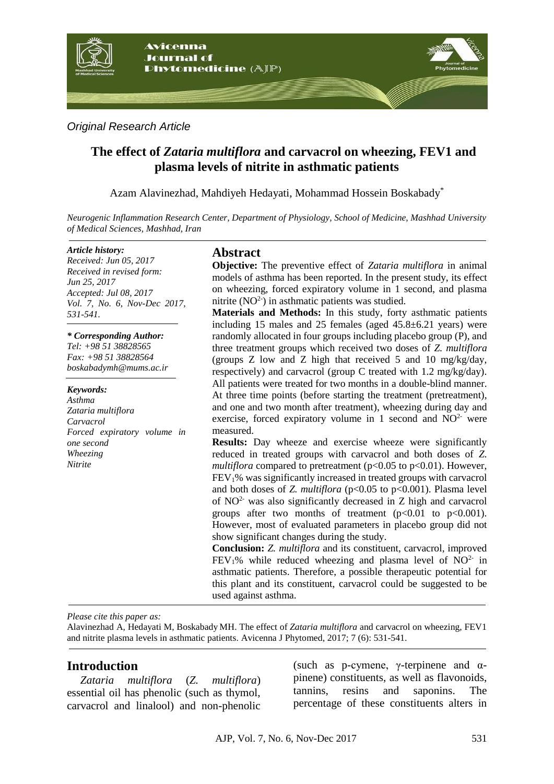

# *Original Research Article*

# **The effect of** *Zataria multiflora* **and carvacrol on wheezing, FEV1 and plasma levels of nitrite in asthmatic patients**

Azam Alavinezhad, Mahdiyeh Hedayati, Mohammad Hossein Boskabady\*

*Neurogenic Inflammation Research Center, Department of Physiology, School of Medicine, Mashhad University of Medical Sciences, Mashhad, Iran*

#### *Article history:*

*Received: Jun 05, 2017 Received in revised form: Jun 25, 2017 Accepted: Jul 08, 2017 Vol. 7, No. 6, Nov-Dec 2017, 531-541.*

#### *\* Corresponding Author:*

*Tel: +98 51 38828565 Fax: +98 51 38828564 boskabadymh@mums.ac.ir* 

#### *Keywords:*

*Asthma Zataria multiflora Carvacrol Forced expiratory volume in one second Wheezing Nitrite*

## **Abstract**

**Objective:** The preventive effect of *Zataria multiflora* in animal models of asthma has been reported. In the present study, its effect on wheezing, forced expiratory volume in 1 second, and plasma nitrite  $(NO<sup>2</sup>)$  in asthmatic patients was studied.

**Materials and Methods:** In this study, forty asthmatic patients including 15 males and 25 females (aged 45.8±6.21 years) were randomly allocated in four groups including placebo group (P), and three treatment groups which received two doses of *Z. multiflora* (groups Z low and Z high that received 5 and 10 mg/kg/day, respectively) and carvacrol (group C treated with 1.2 mg/kg/day). All patients were treated for two months in a double-blind manner. At three time points (before starting the treatment (pretreatment), and one and two month after treatment), wheezing during day and exercise, forced expiratory volume in 1 second and  $NO<sup>2-</sup>$  were measured.

**Results:** Day wheeze and exercise wheeze were significantly reduced in treated groups with carvacrol and both doses of *Z. multiflora* compared to pretreatment (p<0.05 to p<0.01). However, FEV1% was significantly increased in treated groups with carvacrol and both doses of *Z. multiflora* (p<0.05 to p<0.001). Plasma level of  $NO<sup>2</sup>$  was also significantly decreased in Z high and carvacrol groups after two months of treatment  $(p<0.01$  to  $p<0.001$ ). However, most of evaluated parameters in placebo group did not show significant changes during the study.

**Conclusion:** *Z. multiflora* and its constituent, carvacrol, improved  $FEV<sub>1</sub>%$  while reduced wheezing and plasma level of NO<sup>2-</sup> in asthmatic patients. Therefore, a possible therapeutic potential for this plant and its constituent, carvacrol could be suggested to be used against asthma.

*Please cite this paper as:*

Alavinezhad A, Hedayati M, Boskabady MH. The effect of *Zataria multiflora* and carvacrol on wheezing, FEV1 and nitrite plasma levels in asthmatic patients. Avicenna J Phytomed, 2017; 7 (6): 531-541.

# **Introduction**

*Zataria multiflora* (*Z. multiflora*) essential oil has phenolic (such as thymol, carvacrol and linalool) and non-phenolic

(such as p-cymene,  $\gamma$ -terpinene and  $\alpha$ pinene) constituents, as well as flavonoids, tannins, resins and saponins. The percentage of these constituents alters in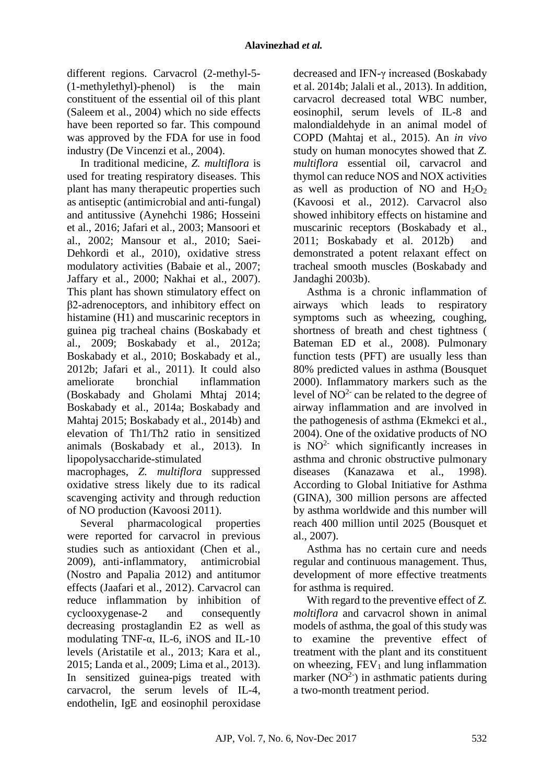different regions. Carvacrol (2-methyl-5- (1-methylethyl)-phenol) is the main constituent of the essential oil of this plant [\(Saleem et al., 2004\)](#page-10-0) which no side effects have been reported so far. This compound was approved by the FDA for use in food industry [\(De Vincenzi et al., 2004\)](#page-9-0).

In traditional medicine, *Z. multiflora* is used for treating respiratory diseases. This plant has many therapeutic properties such as antiseptic (antimicrobial and anti-fungal) and antitussive [\(Aynehchi 1986;](#page-8-0) [Hosseini](#page-9-1)  [et al., 2016;](#page-9-1) [Jafari et al., 2003;](#page-9-2) [Mansoori et](#page-9-3)  [al., 2002;](#page-9-3) [Mansour et al., 2010;](#page-9-4) [Saei-](#page-10-1)[Dehkordi et al., 2010\)](#page-10-1), oxidative stress modulatory activities [\(Babaie et al., 2007;](#page-8-1) [Jaffary et al., 2000;](#page-9-5) [Nakhai et al., 2007\)](#page-10-2). This plant has shown stimulatory effect on β2-adrenoceptors, and inhibitory effect on histamine (H1) and muscarinic receptors in guinea pig tracheal chains [\(Boskabady et](#page-8-2)  [al., 2009;](#page-8-2) [Boskabady et al., 2012a;](#page-8-3) [Boskabady et al., 2010;](#page-8-4) [Boskabady et al.,](#page-8-5)  [2012b;](#page-8-5) [Jafari et al., 2011\)](#page-9-6). It could also ameliorate bronchial inflammation [\(Boskabady and Gholami Mhtaj 2014;](#page-8-6) [Boskabady et al., 2014a;](#page-8-7) [Boskabady and](#page-8-8)  [Mahtaj 2015;](#page-8-8) [Boskabady et al., 2014b\)](#page-8-9) and elevation of Th1/Th2 ratio in sensitized animals [\(Boskabady et al., 2013\)](#page-8-10). In lipopolysaccharide-stimulated

macrophages, *Z. multiflora* suppressed oxidative stress likely due to its radical scavenging activity and through reduction of NO production [\(Kavoosi 2011\)](#page-9-7).

Several pharmacological properties were reported for carvacrol in previous studies such as antioxidant [\(Chen et al.,](#page-8-11)  [2009\)](#page-8-11), anti-inflammatory, antimicrobial [\(Nostro and Papalia 2012\)](#page-10-3) and antitumor effects [\(Jaafari et al., 2012\)](#page-9-8). Carvacrol can reduce inflammation by inhibition of cyclooxygenase-2 and consequently decreasing prostaglandin E2 as well as modulating TNF-α, IL-6, iNOS and IL-10 levels [\(Aristatile et al., 2013;](#page-8-12) [Kara et al.,](#page-9-9)  [2015;](#page-9-9) [Landa et al., 2009;](#page-9-10) [Lima et al., 2013\)](#page-9-11). In sensitized guinea-pigs treated with carvacrol, the serum levels of IL-4, endothelin, IgE and eosinophil peroxidase

decreased and IFN-γ increased [\(Boskabady](#page-8-9)  [et al. 2014b;](#page-8-9) [Jalali et al., 2013\)](#page-9-12). In addition, carvacrol decreased total WBC number, eosinophil, serum levels of IL-8 and malondialdehyde in an animal model of COPD [\(Mahtaj et al., 2015\)](#page-9-13). An *in vivo* study on human monocytes showed that *Z. multiflora* essential oil, carvacrol and thymol can reduce NOS and NOX activities as well as production of NO and  $H_2O_2$ [\(Kavoosi et al., 2012\)](#page-9-14). Carvacrol also showed inhibitory effects on histamine and muscarinic receptors [\(Boskabady et al.,](#page-8-13)  [2011;](#page-8-13) [Boskabady et al. 2012b\)](#page-8-5) and demonstrated a potent relaxant effect on tracheal smooth muscles [\(Boskabady and](#page-8-14)  [Jandaghi 2003b\)](#page-8-14).

Asthma is a chronic inflammation of airways which leads to respiratory symptoms such as wheezing, coughing, shortness of breath and chest tightness ( Bateman ED et al., 2008). Pulmonary function tests (PFT) are usually less than 80% predicted values in asthma [\(Bousquet](#page-8-15)  [2000\)](#page-8-15). Inflammatory markers such as the level of  $NO<sup>2</sup>$  can be related to the degree of airway inflammation and are involved in the pathogenesis of asthma [\(Ekmekci et al.,](#page-9-15)  [2004\)](#page-9-15). One of the oxidative products of NO is  $NO<sup>2</sup>$  which significantly increases in asthma and chronic obstructive pulmonary diseases [\(Kanazawa et al., 1998\)](#page-9-16). According to [Global Initiative for Asthma](http://www.google.com/url?sa=t&rct=j&q=&esrc=s&source=web&cd=1&ved=0ahUKEwiwj8ywkbPQAhVGlCwKHcB9A5QQFggaMAA&url=http%3A%2F%2Fginasthma.org%2F&usg=AFQjCNHwytcCBLXZAUDkOHxs1s1ylguDJg&sig2=SkcX3YcBIcVtPRDyIhRnaA&bvm=bv.139250283,d.bGg)  (GINA), 300 million persons are affected by asthma worldwide and this number will reach 400 million until 2025 [\(Bousquet et](#page-8-16)  [al., 2007\)](#page-8-16).

Asthma has no certain cure and needs regular and continuous management. Thus, development of more effective treatments for asthma is required.

With regard to the preventive effect of *Z. moltiflora* and carvacrol shown in animal models of asthma, the goal of this study was to examine the preventive effect of treatment with the plant and its constituent on wheezing,  $FEV_1$  and lung inflammation marker  $(NO<sup>2</sup>)$  in asthmatic patients during a two-month treatment period.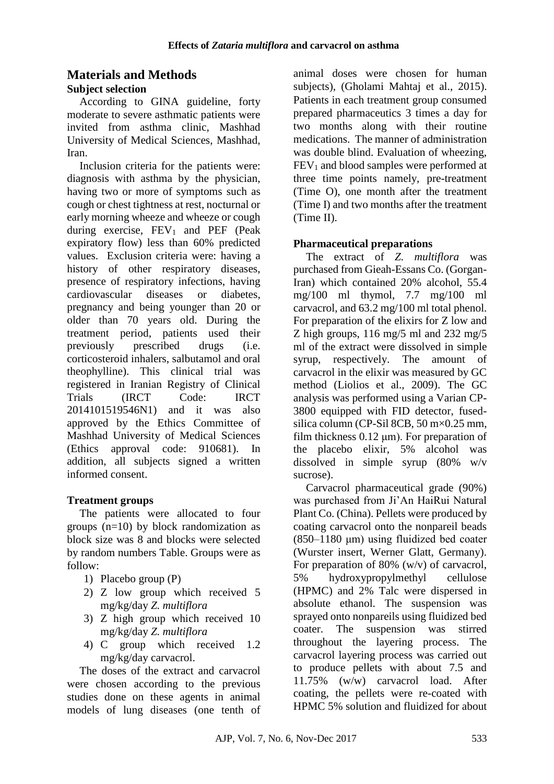# **Materials and Methods**

## **Subject selection**

According to GINA guideline, forty moderate to severe asthmatic patients were invited from asthma clinic, Mashhad University of Medical Sciences, Mashhad, Iran.

Inclusion criteria for the patients were: diagnosis with asthma by the physician, having two or more of symptoms such as cough or chest tightness at rest, nocturnal or early morning wheeze and wheeze or cough during exercise,  $FEV_1$  and  $PEF$  (Peak expiratory flow) less than 60% predicted values. Exclusion criteria were: having a history of other respiratory diseases, presence of respiratory infections, having cardiovascular diseases or diabetes, pregnancy and being younger than 20 or older than 70 years old. During the treatment period, patients used their previously prescribed drugs (i.e. corticosteroid inhalers, salbutamol and oral theophylline). This clinical trial was registered in Iranian Registry of Clinical Trials (IRCT Code: IRCT 2014101519546N1) and it was also approved by the Ethics Committee of Mashhad University of Medical Sciences (Ethics approval code: 910681). In addition, all subjects signed a written informed consent.

# **Treatment groups**

The patients were allocated to four groups (n=10) by block randomization as block size was 8 and blocks were selected by random numbers Table. Groups were as follow:

- 1) Placebo group (P)
- 2) Z low group which received 5 mg/kg/day *Z. multiflora*
- 3) Z high group which received 10 mg/kg/day *Z. multiflora*
- 4) C group which received 1.2 mg/kg/day carvacrol.

The doses of the extract and carvacrol were chosen according to the previous studies done on these agents in animal models of lung diseases (one tenth of animal doses were chosen for human subjects), [\(Gholami Mahtaj et al., 2015\)](#page-9-17). Patients in each treatment group consumed prepared pharmaceutics 3 times a day for two months along with their routine medications. The manner of administration was double blind. Evaluation of wheezing,  $FEV<sub>1</sub>$  and blood samples were performed at three time points namely, pre-treatment (Time O), one month after the treatment (Time I) and two months after the treatment (Time II).

## **Pharmaceutical preparations**

The extract of *Z. multiflora* was purchased from Gieah-Essans Co. (Gorgan-Iran) which contained 20% alcohol, 55.4 mg/100 ml thymol, 7.7 mg/100 ml carvacrol, and 63.2 mg/100 ml total phenol. For preparation of the elixirs for Z low and Z high groups,  $116 \text{ mg/s}$  ml and  $232 \text{ mg/s}$ ml of the extract were dissolved in simple syrup, respectively. The amount of carvacrol in the elixir was measured by GC method [\(Liolios et al., 2009\)](#page-9-18). The GC analysis was performed using a Varian CP-3800 equipped with FID detector, fusedsilica column (CP-Sil 8CB, 50 m×0.25 mm, film thickness 0.12 um). For preparation of the placebo elixir, 5% alcohol was dissolved in simple syrup (80% w/v sucrose).

Carvacrol pharmaceutical grade (90%) was purchased from Ji'An HaiRui Natural Plant Co. (China). Pellets were produced by coating carvacrol onto the nonpareil beads (850–1180 μm) using fluidized bed coater (Wurster insert, Werner Glatt, Germany). For preparation of 80% (w/v) of carvacrol, 5% hydroxypropylmethyl cellulose (HPMC) and 2% Talc were dispersed in absolute ethanol. The suspension was sprayed onto nonpareils using fluidized bed coater. The suspension was stirred throughout the layering process. The carvacrol layering process was carried out to produce pellets with about 7.5 and 11.75% (w/w) carvacrol load. After coating, the pellets were re-coated with HPMC 5% solution and fluidized for about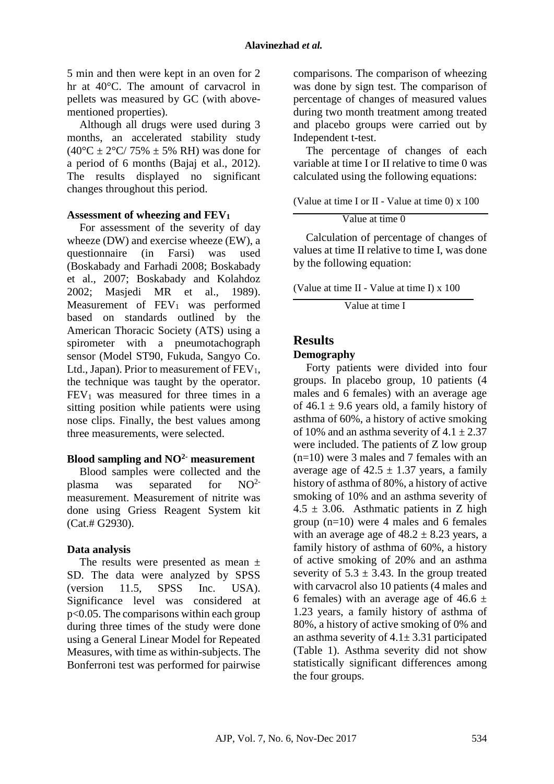5 min and then were kept in an oven for 2 hr at 40°C. The amount of carvacrol in pellets was measured by GC (with abovementioned properties).

Although all drugs were used during 3 months, an accelerated stability study  $(40^{\circ}C \pm 2^{\circ}C/75\% \pm 5\% RH)$  was done for a period of 6 months [\(Bajaj et al., 2012\)](#page-8-17). The results displayed no significant changes throughout this period.

#### **Assessment of wheezing and FEV<sup>1</sup>**

For assessment of the severity of day wheeze (DW) and exercise wheeze (EW), a questionnaire (in Farsi) was used [\(Boskabady and Farhadi 2008;](#page-8-18) [Boskabady](#page-8-19)  [et al., 2007;](#page-8-19) [Boskabady and Kolahdoz](#page-8-20)  [2002;](#page-8-20) [Masjedi MR et al., 1989\)](#page-10-4). Measurement of  $FEV<sub>1</sub>$  was performed based on standards outlined by the American Thoracic Society (ATS) using a spirometer with a pneumotachograph sensor (Model ST90, Fukuda, Sangyo Co. Ltd., Japan). Prior to measurement of  $FEV<sub>1</sub>$ , the technique was taught by the operator.  $FEV<sub>1</sub>$  was measured for three times in a sitting position while patients were using nose clips. Finally, the best values among three measurements, were selected.

#### **Blood sampling and NO2- measurement**

Blood samples were collected and the plasma was separated for  $NO<sup>2</sup>$ measurement. Measurement of nitrite was done using Griess Reagent System kit (Cat.# G2930).

# **Data analysis**

The results were presented as mean  $\pm$ SD. The data were analyzed by SPSS (version 11.5, SPSS Inc. USA). Significance level was considered at p<0.05. The comparisons within each group during three times of the study were done using a General Linear Model for Repeated Measures, with time as within-subjects. The Bonferroni test was performed for pairwise

comparisons. The comparison of wheezing was done by sign test. The comparison of percentage of changes of measured values during two month treatment among treated and placebo groups were carried out by Independent t-test.

The percentage of changes of each variable at time I or II relative to time 0 was calculated using the following equations:

(Value at time I or  $II$  - Value at time 0) x 100

Value at time 0

Calculation of percentage of changes of values at time II relative to time I, was done by the following equation:

(Value at time II - Value at time I) x 100

Value at time I

# **Results**

#### **Demography**

Forty patients were divided into four groups. In placebo group, 10 patients (4 males and 6 females) with an average age of 46.1  $\pm$  9.6 years old, a family history of asthma of 60%, a history of active smoking of 10% and an asthma severity of  $4.1 \pm 2.37$ were included. The patients of Z low group (n=10) were 3 males and 7 females with an average age of  $42.5 \pm 1.37$  years, a family history of asthma of 80%, a history of active smoking of 10% and an asthma severity of  $4.5 \pm 3.06$ . Asthmatic patients in Z high group (n=10) were 4 males and 6 females with an average age of  $48.2 \pm 8.23$  years, a family history of asthma of 60%, a history of active smoking of 20% and an asthma severity of  $5.3 \pm 3.43$ . In the group treated with carvacrol also 10 patients (4 males and 6 females) with an average age of  $46.6 \pm$ 1.23 years, a family history of asthma of 80%, a history of active smoking of 0% and an asthma severity of  $4.1 \pm 3.31$  participated (Table 1). Asthma severity did not show statistically significant differences among the four groups.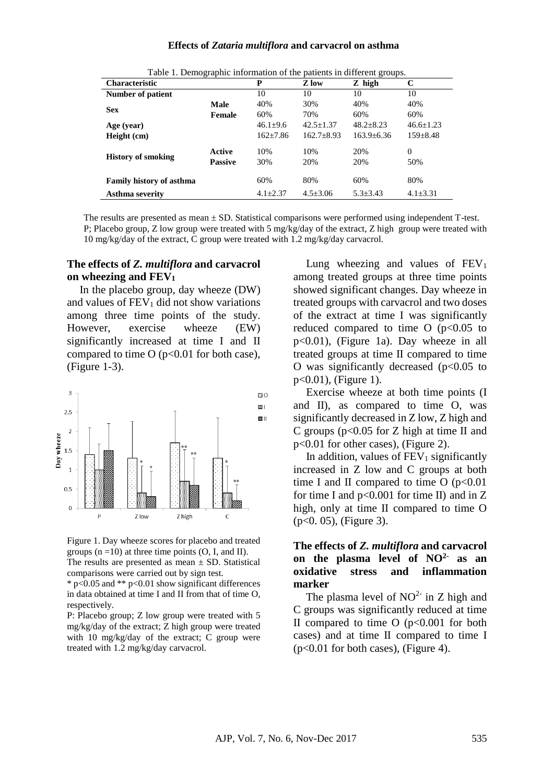#### **Effects of** *Zataria multiflora* **and carvacrol on asthma**

| Table 1. Demographic information of the patients in unterent groups. |                |                |                  |                  |                 |  |  |  |
|----------------------------------------------------------------------|----------------|----------------|------------------|------------------|-----------------|--|--|--|
| <b>Characteristic</b>                                                |                | P              | Z low            | Z high           | C               |  |  |  |
| <b>Number of patient</b>                                             |                | 10             | 10               | 10               | 10              |  |  |  |
| <b>Sex</b>                                                           | Male           | 40%            | 30%              | 40%              | 40%             |  |  |  |
|                                                                      | Female         | 60%            | 70%              | 60%              | 60%             |  |  |  |
| Age (year)                                                           |                | $46.1 \pm 9.6$ | $42.5 \pm 1.37$  | $48.2 + 8.23$    | $46.6 \pm 1.23$ |  |  |  |
| Height (cm)                                                          |                | $162 \pm 7.86$ | $162.7 \pm 8.93$ | $163.9 \pm 6.36$ | $159 \pm 8.48$  |  |  |  |
| <b>History of smoking</b>                                            | Active         | 10%            | 10%              | 20%              | $\Omega$        |  |  |  |
|                                                                      | <b>Passive</b> | 30%            | 20%              | 20%              | 50%             |  |  |  |
|                                                                      |                |                |                  |                  |                 |  |  |  |
| <b>Family history of asthma</b>                                      |                | 60%            | 80%              | 60%              | 80%             |  |  |  |
| Asthma severity                                                      |                | $4.1 \pm 2.37$ | $4.5 \pm 3.06$   | $5.3 \pm 3.43$   | $4.1 \pm 3.31$  |  |  |  |

Table 1. Demographic information of the patients in different graphs.

The results are presented as mean  $\pm$  SD. Statistical comparisons were performed using independent T-test. P; Placebo group, Z low group were treated with 5 mg/kg/day of the extract, Z high group were treated with 10 mg/kg/day of the extract, C group were treated with 1.2 mg/kg/day carvacrol.

#### **The effects of** *Z. multiflora* **and carvacrol on wheezing and FEV<sup>1</sup>**

In the placebo group, day wheeze (DW) and values of  $FEV<sub>1</sub>$  did not show variations among three time points of the study. However, exercise wheeze (EW) significantly increased at time I and II compared to time  $O (p < 0.01$  for both case), (Figure 1-3).



Figure 1. Day wheeze scores for placebo and treated groups  $(n = 10)$  at three time points  $(O, I, and II)$ . The results are presented as mean  $\pm$  SD. Statistical comparisons were carried out by sign test.

\* p<0.05 and \*\* p<0.01 show significant differences in data obtained at time I and II from that of time O, respectively.

P: Placebo group; Z low group were treated with 5 mg/kg/day of the extract; Z high group were treated with 10 mg/kg/day of the extract; C group were treated with 1.2 mg/kg/day carvacrol.

Lung wheezing and values of  $FEV<sub>1</sub>$ among treated groups at three time points showed significant changes. Day wheeze in treated groups with carvacrol and two doses of the extract at time I was significantly reduced compared to time  $O$  ( $p<0.05$  to p<0.01), (Figure 1a). Day wheeze in all treated groups at time II compared to time O was significantly decreased  $(p<0.05$  to p<0.01), (Figure 1).

Exercise wheeze at both time points (I and II), as compared to time O, was significantly decreased in Z low, Z high and C groups ( $p<0.05$  for Z high at time II and p<0.01 for other cases), (Figure 2).

In addition, values of  $FEV<sub>1</sub>$  significantly increased in Z low and C groups at both time I and II compared to time O  $(p<0.01)$ for time I and  $p<0.001$  for time II) and in Z high, only at time II compared to time O (p<0. 05), (Figure 3).

#### **The effects of** *Z. multiflora* **and carvacrol on the plasma level of NO2- as an oxidative stress and inflammation marker**

The plasma level of  $NO<sup>2</sup>$  in Z high and C groups was significantly reduced at time II compared to time  $O(p<0.001$  for both cases) and at time II compared to time I  $(p<0.01$  for both cases), (Figure 4).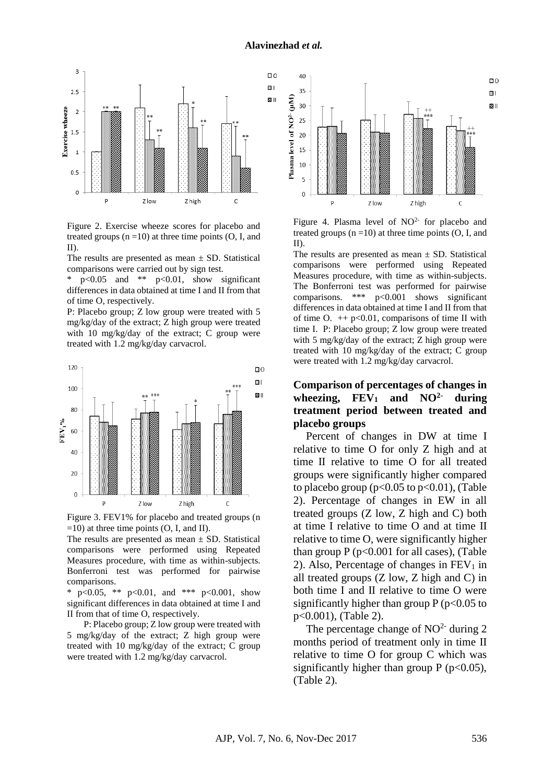

Figure 2. Exercise wheeze scores for placebo and treated groups  $(n = 10)$  at three time points  $(O, I, and)$ II).

The results are presented as mean  $\pm$  SD. Statistical comparisons were carried out by sign test.

\*  $p<0.05$  and \*\*  $p<0.01$ , show significant differences in data obtained at time I and II from that of time O, respectively.

P: Placebo group; Z low group were treated with 5 mg/kg/day of the extract; Z high group were treated with 10 mg/kg/day of the extract; C group were treated with 1.2 mg/kg/day carvacrol.



Figure 3. FEV1% for placebo and treated groups (n  $=10$ ) at three time points (O, I, and II).

The results are presented as mean  $\pm$  SD. Statistical comparisons were performed using Repeated Measures procedure, with time as within-subjects. Bonferroni test was performed for pairwise comparisons.

\* p<0.05, \*\* p<0.01, and \*\*\* p<0.001, show significant differences in data obtained at time I and II from that of time O, respectively.

P: Placebo group; Z low group were treated with 5 mg/kg/day of the extract; Z high group were treated with 10 mg/kg/day of the extract; C group were treated with 1.2 mg/kg/day carvacrol.



Figure 4. Plasma level of  $NO<sup>2-</sup>$  for placebo and treated groups  $(n = 10)$  at three time points  $(0, I, and)$ II).

The results are presented as mean  $\pm$  SD. Statistical comparisons were performed using Repeated Measures procedure, with time as within-subjects. The Bonferroni test was performed for pairwise comparisons. \*\*\* p<0.001 shows significant differences in data obtained at time I and II from that of time O.  $++$  p<0.01, comparisons of time II with time I. P: Placebo group; Z low group were treated with 5 mg/kg/day of the extract; Z high group were treated with 10 mg/kg/day of the extract; C group were treated with 1.2 mg/kg/day carvacrol.

#### **Comparison of percentages of changes in**  wheezing,  $\text{FEV}_1$  and  $\text{NO}^{2-}$  during **treatment period between treated and placebo groups**

Percent of changes in DW at time I relative to time O for only Z high and at time II relative to time O for all treated groups were significantly higher compared to placebo group ( $p<0.05$  to  $p<0.01$ ), (Table 2). Percentage of changes in EW in all treated groups (Z low, Z high and C) both at time I relative to time O and at time II relative to time O, were significantly higher than group  $P (p<0.001$  for all cases), (Table 2). Also, Percentage of changes in  $FEV<sub>1</sub>$  in all treated groups (Z low, Z high and C) in both time I and II relative to time O were significantly higher than group  $P (p<0.05$  to p<0.001), (Table 2).

The percentage change of  $NO<sup>2</sup>$  during 2 months period of treatment only in time II relative to time O for group C which was significantly higher than group  $P (p<0.05)$ , (Table 2).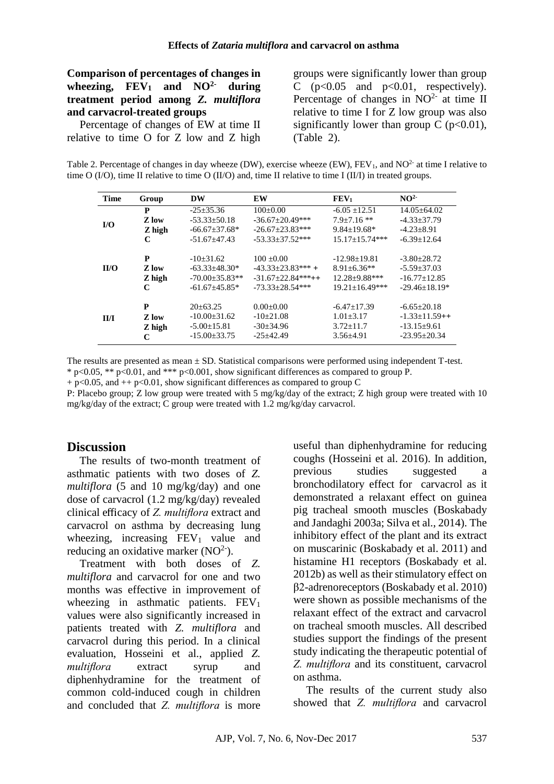**Comparison of percentages of changes in wheezing, FEV<sup>1</sup> and NO2- during treatment period among** *Z. multiflora*  **and carvacrol-treated groups**

Percentage of changes of EW at time II relative to time O for Z low and Z high groups were significantly lower than group C  $(p<0.05$  and  $p<0.01$ , respectively). Percentage of changes in  $NO<sup>2-</sup>$  at time II relative to time I for Z low group was also significantly lower than group C ( $p<0.01$ ), (Table 2).

Table 2. Percentage of changes in day wheeze (DW), exercise wheeze (EW),  $FEV_1$ , and  $NO^2$  at time I relative to time O  $(I/O)$ , time II relative to time O  $(II/O)$  and, time II relative to time I  $(II/I)$  in treated groups.

| <b>Time</b> | Group                            | <b>DW</b>                                                                         | EW                                                                                          | FEV <sub>1</sub>                                                                       | NO <sup>2</sup>                                                                     |
|-------------|----------------------------------|-----------------------------------------------------------------------------------|---------------------------------------------------------------------------------------------|----------------------------------------------------------------------------------------|-------------------------------------------------------------------------------------|
| $IO$        | P<br>Z low                       | $-25\pm 35.36$<br>$-53.33 \pm 50.18$                                              | $100 \pm 0.00$<br>$-36.67 \pm 20.49$ ***                                                    | $-6.05 \pm 12.51$<br>$7.9 \pm 7.16$ **                                                 | $14.05 \pm 64.02$<br>$-4.33 \pm 37.79$                                              |
|             | Z high                           | $-66.67 \pm 37.68$ *                                                              | $-26.67 \pm 23.83$ ***                                                                      | $9.84 + 19.68*$                                                                        | $-4.23+8.91$                                                                        |
|             | C                                | $-51.67 \pm 47.43$                                                                | $-53.33+37.52***$                                                                           | $15.17 \pm 15.74$ ***                                                                  | $-6.39 \pm 12.64$                                                                   |
| II/O        | P<br><b>Z</b> low<br>Z high<br>C | $-10\pm31.62$<br>$-63.33 \pm 48.30*$<br>$-70.00 \pm 35.83**$<br>$-61.67 + 45.85*$ | $100 \pm 0.00$<br>$-43.33 \pm 23.83$ *** +<br>$-31.67 \pm 22.84$ ***++<br>$-73.33+28.54***$ | $-12.98 \pm 19.81$<br>$8.91 \pm 6.36**$<br>$12.28 + 9.88$ ***<br>$19.21 \pm 16.49$ *** | $-3.80 \pm 28.72$<br>$-5.59 \pm 37.03$<br>$-16.77 \pm 12.85$<br>$-29.46 \pm 18.19*$ |
| II/I        | P<br>Z low<br>Z high<br>C        | $20 \pm 63.25$<br>$-10.00\pm31.62$<br>$-5.00 \pm 15.81$<br>$-15.00 \pm 33.75$     | $0.00 \pm 0.00$<br>$-10\pm 21.08$<br>$-30\pm 34.96$<br>$-25+42.49$                          | $-6.47 \pm 17.39$<br>$1.01 \pm 3.17$<br>$3.72 \pm 11.7$<br>$3.56 \pm 4.91$             | $-6.65 \pm 20.18$<br>$-1.33 \pm 11.59++$<br>$-13.15+9.61$<br>$-23.95 \pm 20.34$     |

The results are presented as mean ± SD. Statistical comparisons were performed using independent T-test.  $*$  p<0.05, \*\* p<0.01, and \*\*\* p<0.001, show significant differences as compared to group P.

 $+$  p<0.05, and  $+$  p<0.01, show significant differences as compared to group C

P: Placebo group; Z low group were treated with 5 mg/kg/day of the extract; Z high group were treated with 10 mg/kg/day of the extract; C group were treated with 1.2 mg/kg/day carvacrol.

# **Discussion**

The results of two-month treatment of asthmatic patients with two doses of *Z. multiflora* (5 and 10 mg/kg/day) and one dose of carvacrol (1.2 mg/kg/day) revealed clinical efficacy of *Z. multiflora* extract and carvacrol on asthma by decreasing lung wheezing, increasing  $FEV_1$  value and reducing an oxidative marker  $(NO<sup>2</sup>)$ .

Treatment with both doses of *Z. multiflora* and carvacrol for one and two months was effective in improvement of wheezing in asthmatic patients.  $FEV<sub>1</sub>$ values were also significantly increased in patients treated with *Z. multiflora* and carvacrol during this period. In a clinical evaluation, Hosseini et al., applied *Z. multiflora* extract syrup and diphenhydramine for the treatment of common cold-induced cough in children and concluded that *Z. multiflora* is more useful than diphenhydramine for reducing coughs [\(Hosseini et al. 2016\)](#page-9-1). In addition, previous studies suggested a bronchodilatory effect for carvacrol as it demonstrated a relaxant effect on guinea pig tracheal smooth muscles [\(Boskabady](#page-8-21)  [and Jandaghi 2003a;](#page-8-21) [Silva et al., 2014\)](#page-10-5). The inhibitory effect of the plant and its extract on muscarinic [\(Boskabady et al. 2011\)](#page-8-13) and histamine H1 receptors [\(Boskabady et al.](#page-8-5)  [2012b\)](#page-8-5) as well as their stimulatory effect on β2-adrenoreceptors [\(Boskabady et al. 2010\)](#page-8-4) were shown as possible mechanisms of the relaxant effect of the extract and carvacrol on tracheal smooth muscles. All described studies support the findings of the present study indicating the therapeutic potential of *Z. multiflora* and its constituent, carvacrol on asthma.

The results of the current study also showed that *Z. multiflora* and carvacrol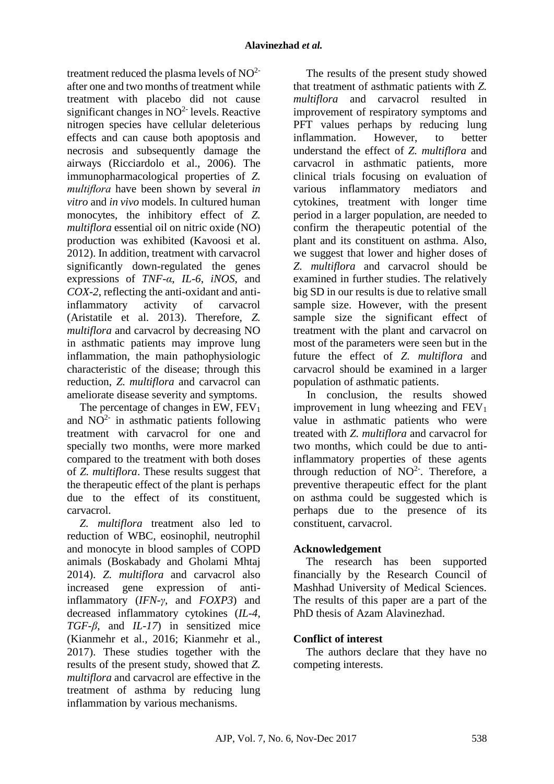treatment reduced the plasma levels of  $NO<sup>2</sup>$ after one and two months of treatment while treatment with placebo did not cause significant changes in  $NO<sup>2</sup>$  levels. Reactive nitrogen species have cellular deleterious effects and can cause both apoptosis and necrosis and subsequently damage the airways [\(Ricciardolo et al., 2006\)](#page-10-6). The immunopharmacological properties of *Z. multiflora* have been shown by several *in vitro* and *in vivo* models. In cultured human monocytes, the inhibitory effect of *Z. multiflora* essential oil on nitric oxide (NO) production was exhibited [\(Kavoosi et al.](#page-9-14)  [2012\)](#page-9-14). In addition, treatment with carvacrol significantly down-regulated the genes expressions of *TNF-α*, *IL-6*, *iNOS*, and *COX-2*, reflecting the anti-oxidant and antiinflammatory activity of carvacrol [\(Aristatile et al. 2013\)](#page-8-12). Therefore, *Z. multiflora* and carvacrol by decreasing NO in asthmatic patients may improve lung inflammation, the main pathophysiologic characteristic of the disease; through this reduction, *Z. multiflora* and carvacrol can ameliorate disease severity and symptoms.

The percentage of changes in EW,  $FEV<sub>1</sub>$ and  $NO<sup>2-</sup>$  in asthmatic patients following treatment with carvacrol for one and specially two months, were more marked compared to the treatment with both doses of *Z. multiflora*. These results suggest that the therapeutic effect of the plant is perhaps due to the effect of its constituent, carvacrol.

*Z. multiflora* treatment also led to reduction of WBC, eosinophil, neutrophil and monocyte in blood samples of COPD animals [\(Boskabady and Gholami Mhtaj](#page-8-6)  [2014\)](#page-8-6). *Z. multiflora* and carvacrol also increased gene expression of antiinflammatory (*IFN-γ*, and *FOXP3*) and decreased inflammatory cytokines (*IL-4*, *TGF-β*, and *IL-17*) in sensitized mice [\(Kianmehr et al., 2016;](#page-9-19) [Kianmehr et al.,](#page-9-20)  [2017\)](#page-9-20). These studies together with the results of the present study, showed that *Z. multiflora* and carvacrol are effective in the treatment of asthma by reducing lung inflammation by various mechanisms.

The results of the present study showed that treatment of asthmatic patients with *Z. multiflora* and carvacrol resulted in improvement of respiratory symptoms and PFT values perhaps by reducing lung inflammation. However, to better understand the effect of *Z. multiflora* and carvacrol in asthmatic patients, more clinical trials focusing on evaluation of various inflammatory mediators and cytokines, treatment with longer time period in a larger population, are needed to confirm the therapeutic potential of the plant and its constituent on asthma. Also, we suggest that lower and higher doses of *Z. multiflora* and carvacrol should be examined in further studies. The relatively big SD in our results is due to relative small sample size. However, with the present sample size the significant effect of treatment with the plant and carvacrol on most of the parameters were seen but in the future the effect of *Z. multiflora* and carvacrol should be examined in a larger population of asthmatic patients.

In conclusion, the results showed improvement in lung wheezing and  $FEV<sub>1</sub>$ value in asthmatic patients who were treated with *Z. multiflora* and carvacrol for two months, which could be due to antiinflammatory properties of these agents through reduction of  $NO<sup>2</sup>$ . Therefore, a preventive therapeutic effect for the plant on asthma could be suggested which is perhaps due to the presence of its constituent, carvacrol.

# **Acknowledgement**

The research has been supported financially by the Research Council of Mashhad University of Medical Sciences. The results of this paper are a part of the PhD thesis of Azam Alavinezhad.

# **Conflict of interest**

The authors declare that they have no competing interests.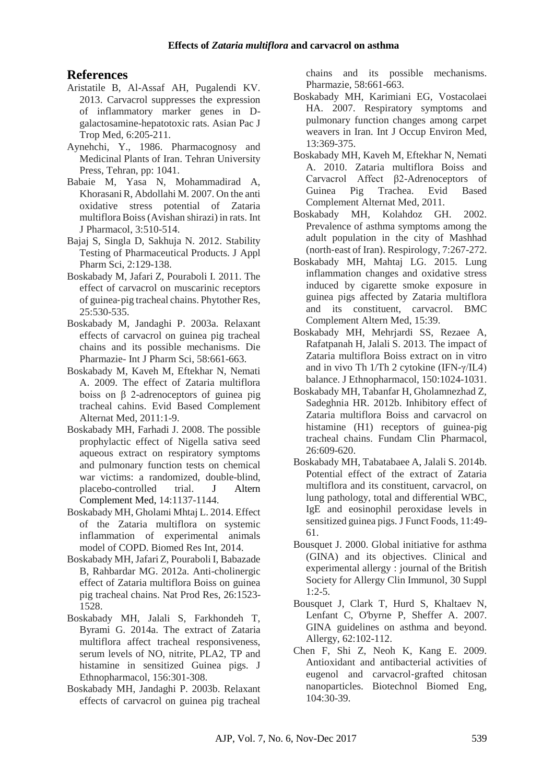# **References**

- <span id="page-8-12"></span>Aristatile B, Al-Assaf AH, Pugalendi KV. 2013. Carvacrol suppresses the expression of inflammatory marker genes in Dgalactosamine-hepatotoxic rats. Asian Pac J Trop Med, 6:205-211.
- <span id="page-8-0"></span>Aynehchi, Y., 1986. Pharmacognosy and Medicinal Plants of Iran. Tehran University Press, Tehran, pp: 1041.
- <span id="page-8-1"></span>Babaie M, Yasa N, Mohammadirad A, Khorasani R, Abdollahi M. 2007. On the anti oxidative stress potential of Zataria multiflora Boiss (Avishan shirazi) in rats. Int J Pharmacol, 3:510-514.
- <span id="page-8-17"></span>Bajaj S, Singla D, Sakhuja N. 2012. Stability Testing of Pharmaceutical Products. J Appl Pharm Sci, 2:129-138.
- <span id="page-8-13"></span>Boskabady M, Jafari Z, Pouraboli I. 2011. The effect of carvacrol on muscarinic receptors of guinea‐pig tracheal chains. Phytother Res, 25:530-535.
- <span id="page-8-21"></span>Boskabady M, Jandaghi P. 2003a. Relaxant effects of carvacrol on guinea pig tracheal chains and its possible mechanisms. Die Pharmazie- Int J Pharm Sci, 58:661-663.
- <span id="page-8-2"></span>Boskabady M, Kaveh M, Eftekhar N, Nemati A. 2009. The effect of Zataria multiflora boiss on β 2-adrenoceptors of guinea pig tracheal cahins. Evid Based Complement Alternat Med, 2011:1-9.
- <span id="page-8-18"></span>Boskabady MH, Farhadi J. 2008. The possible prophylactic effect of Nigella sativa seed aqueous extract on respiratory symptoms and pulmonary function tests on chemical war victims: a randomized, double-blind, placebo-controlled trial. J Altern Complement Med, 14:1137-1144.
- <span id="page-8-6"></span>Boskabady MH, Gholami Mhtaj L. 2014. Effect of the Zataria multiflora on systemic inflammation of experimental animals model of COPD. Biomed Res Int, 2014.
- <span id="page-8-3"></span>Boskabady MH, Jafari Z, Pouraboli I, Babazade B, Rahbardar MG. 2012a. Anti-cholinergic effect of Zataria multiflora Boiss on guinea pig tracheal chains. Nat Prod Res, 26:1523- 1528.
- <span id="page-8-7"></span>Boskabady MH, Jalali S, Farkhondeh T, Byrami G. 2014a. The extract of Zataria multiflora affect tracheal responsiveness, serum levels of NO, nitrite, PLA2, TP and histamine in sensitized Guinea pigs. J Ethnopharmacol, 156:301-308.
- <span id="page-8-14"></span>Boskabady MH, Jandaghi P. 2003b. Relaxant effects of carvacrol on guinea pig tracheal

chains and its possible mechanisms. Pharmazie, 58:661-663.

- <span id="page-8-19"></span>Boskabady MH, Karimiani EG, Vostacolaei HA. 2007. Respiratory symptoms and pulmonary function changes among carpet weavers in Iran. Int J Occup Environ Med, 13:369-375.
- <span id="page-8-4"></span>Boskabady MH, Kaveh M, Eftekhar N, Nemati A. 2010. Zataria multiflora Boiss and Carvacrol Affect β2-Adrenoceptors of Guinea Pig Trachea. Evid Based Complement Alternat Med, 2011.
- <span id="page-8-20"></span>Boskabady MH, Kolahdoz GH. 2002. Prevalence of asthma symptoms among the adult population in the city of Mashhad (north‐east of Iran). Respirology, 7:267-272.
- <span id="page-8-8"></span>Boskabady MH, Mahtaj LG. 2015. Lung inflammation changes and oxidative stress induced by cigarette smoke exposure in guinea pigs affected by Zataria multiflora and its constituent, carvacrol. BMC Complement Altern Med, 15:39.
- <span id="page-8-10"></span>Boskabady MH, Mehrjardi SS, Rezaee A, Rafatpanah H, Jalali S. 2013. The impact of Zataria multiflora Boiss extract on in vitro and in vivo Th 1/Th 2 cytokine (IFN-γ/IL4) balance. J Ethnopharmacol, 150:1024-1031.
- <span id="page-8-5"></span>Boskabady MH, Tabanfar H, Gholamnezhad Z, Sadeghnia HR. 2012b. Inhibitory effect of Zataria multiflora Boiss and carvacrol on histamine (H1) receptors of guinea-pig tracheal chains. Fundam Clin Pharmacol, 26:609-620.
- <span id="page-8-9"></span>Boskabady MH, Tabatabaee A, Jalali S. 2014b. Potential effect of the extract of Zataria multiflora and its constituent, carvacrol, on lung pathology, total and differential WBC, IgE and eosinophil peroxidase levels in sensitized guinea pigs. J Funct Foods, 11:49- 61.
- <span id="page-8-15"></span>Bousquet J. 2000. Global initiative for asthma (GINA) and its objectives. Clinical and experimental allergy : journal of the British Society for Allergy Clin Immunol, 30 Suppl  $1:2-5.$
- <span id="page-8-16"></span>Bousquet J, Clark T, Hurd S, Khaltaev N, Lenfant C, O'byrne P, Sheffer A. 2007. GINA guidelines on asthma and beyond. Allergy, 62:102-112.
- <span id="page-8-11"></span>Chen F, Shi Z, Neoh K, Kang E. 2009. Antioxidant and antibacterial activities of eugenol and carvacrol‐grafted chitosan nanoparticles. Biotechnol Biomed Eng, 104:30-39.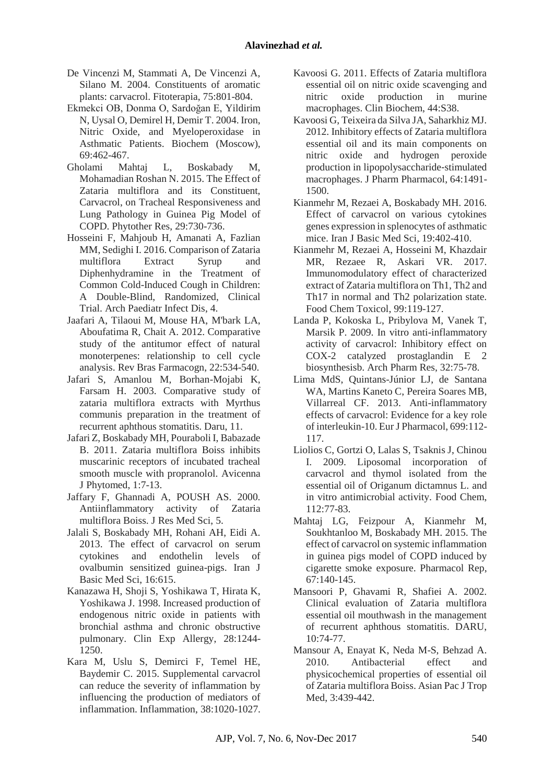- <span id="page-9-0"></span>De Vincenzi M, Stammati A, De Vincenzi A, Silano M. 2004. Constituents of aromatic plants: carvacrol. Fitoterapia, 75:801-804.
- <span id="page-9-15"></span>Ekmekci OB, Donma O, Sardoğan E, Yildirim N, Uysal O, Demirel H, Demir T. 2004. Iron, Nitric Oxide, and Myeloperoxidase in Asthmatic Patients. Biochem (Moscow), 69:462-467.
- <span id="page-9-17"></span>Gholami Mahtaj L, Boskabady M, Mohamadian Roshan N. 2015. The Effect of Zataria multiflora and its Constituent, Carvacrol, on Tracheal Responsiveness and Lung Pathology in Guinea Pig Model of COPD. Phytother Res, 29:730-736.
- <span id="page-9-1"></span>Hosseini F, Mahjoub H, Amanati A, Fazlian MM, Sedighi I. 2016. Comparison of Zataria multiflora Extract Syrup and Diphenhydramine in the Treatment of Common Cold-Induced Cough in Children: A Double-Blind, Randomized, Clinical Trial. Arch Paediatr Infect Dis, 4.
- <span id="page-9-8"></span>Jaafari A, Tilaoui M, Mouse HA, M'bark LA, Aboufatima R, Chait A. 2012. Comparative study of the antitumor effect of natural monoterpenes: relationship to cell cycle analysis. Rev Bras Farmacogn, 22:534-540.
- <span id="page-9-2"></span>Jafari S, Amanlou M, Borhan-Mojabi K, Farsam H. 2003. Comparative study of zataria multiflora extracts with Myrthus communis preparation in the treatment of recurrent aphthous stomatitis. Daru, 11.
- <span id="page-9-6"></span>Jafari Z, Boskabady MH, Pouraboli I, Babazade B. 2011. Zataria multiflora Boiss inhibits muscarinic receptors of incubated tracheal smooth muscle with propranolol. Avicenna J Phytomed, 1:7-13.
- <span id="page-9-5"></span>Jaffary F, Ghannadi A, POUSH AS. 2000. Antiinflammatory activity of Zataria multiflora Boiss. J Res Med Sci, 5.
- <span id="page-9-12"></span>Jalali S, Boskabady MH, Rohani AH, Eidi A. 2013. The effect of carvacrol on serum cytokines and endothelin levels of ovalbumin sensitized guinea-pigs. Iran J Basic Med Sci, 16:615.
- <span id="page-9-16"></span>Kanazawa H, Shoji S, Yoshikawa T, Hirata K, Yoshikawa J. 1998. Increased production of endogenous nitric oxide in patients with bronchial asthma and chronic obstructive pulmonary. Clin Exp Allergy, 28:1244- 1250.
- <span id="page-9-9"></span>Kara M, Uslu S, Demirci F, Temel HE, Baydemir C. 2015. Supplemental carvacrol can reduce the severity of inflammation by influencing the production of mediators of inflammation. Inflammation, 38:1020-1027.
- <span id="page-9-7"></span>Kavoosi G. 2011. Effects of Zataria multiflora essential oil on nitric oxide scavenging and nitric oxide production in murine macrophages. Clin Biochem, 44:S38.
- <span id="page-9-14"></span>Kavoosi G, Teixeira da Silva JA, Saharkhiz MJ. 2012. Inhibitory effects of Zataria multiflora essential oil and its main components on nitric oxide and hydrogen peroxide production in lipopolysaccharide‐stimulated macrophages. J Pharm Pharmacol, 64:1491- 1500.
- <span id="page-9-19"></span>Kianmehr M, Rezaei A, Boskabady MH. 2016. Effect of carvacrol on various cytokines genes expression in splenocytes of asthmatic mice. Iran J Basic Med Sci, 19:402-410.
- <span id="page-9-20"></span>Kianmehr M, Rezaei A, Hosseini M, Khazdair MR, Rezaee R, Askari VR. 2017. Immunomodulatory effect of characterized extract of Zataria multiflora on Th1, Th2 and Th17 in normal and Th2 polarization state. Food Chem Toxicol, 99:119-127.
- <span id="page-9-10"></span>Landa P, Kokoska L, Pribylova M, Vanek T, Marsik P. 2009. In vitro anti-inflammatory activity of carvacrol: Inhibitory effect on COX-2 catalyzed prostaglandin E 2 biosynthesisb. Arch Pharm Res, 32:75-78.
- <span id="page-9-11"></span>Lima MdS, Quintans-Júnior LJ, de Santana WA, Martins Kaneto C, Pereira Soares MB, Villarreal CF. 2013. Anti-inflammatory effects of carvacrol: Evidence for a key role of interleukin-10. Eur J Pharmacol, 699:112- 117.
- <span id="page-9-18"></span>Liolios C, Gortzi O, Lalas S, Tsaknis J, Chinou I. 2009. Liposomal incorporation of carvacrol and thymol isolated from the essential oil of Origanum dictamnus L. and in vitro antimicrobial activity. Food Chem, 112:77-83.
- <span id="page-9-13"></span>Mahtaj LG, Feizpour A, Kianmehr M, Soukhtanloo M, Boskabady MH. 2015. The effect of carvacrol on systemic inflammation in guinea pigs model of COPD induced by cigarette smoke exposure. Pharmacol Rep, 67:140-145.
- <span id="page-9-3"></span>Mansoori P, Ghavami R, Shafiei A. 2002. Clinical evaluation of Zataria multiflora essential oil mouthwash in the management of recurrent aphthous stomatitis. DARU, 10:74-77.
- <span id="page-9-4"></span>Mansour A, Enayat K, Neda M-S, Behzad A. 2010. Antibacterial effect and physicochemical properties of essential oil of Zataria multiflora Boiss. Asian Pac J Trop Med, 3:439-442.